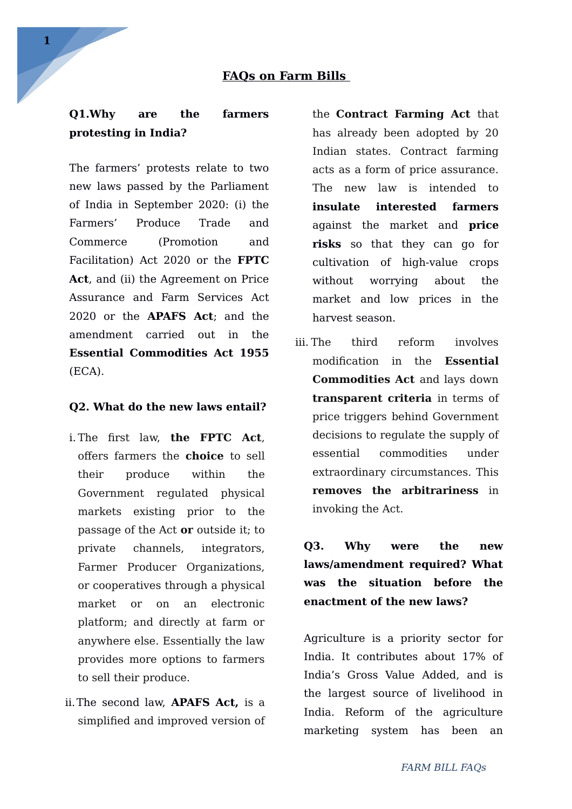#### **FAQs on Farm Bills**

## **Q1.Why are the farmers protesting in India?**

The farmers' protests relate to two new laws passed by the Parliament of India in September 2020: (i) the Farmers' Produce Trade and Commerce (Promotion and Facilitation) Act 2020 or the **FPTC Act**, and (ii) the Agreement on Price Assurance and Farm Services Act 2020 or the **APAFS Act**; and the amendment carried out in the **Essential Commodities Act 1955** (ECA).

#### **Q2. What do the new laws entail?**

- i. The first law, **the FPTC Act**, offers farmers the **choice** to sell their produce within the Government regulated physical markets existing prior to the passage of the Act **or** outside it; to private channels, integrators, Farmer Producer Organizations, or cooperatives through a physical market or on an electronic platform; and directly at farm or anywhere else. Essentially the law provides more options to farmers to sell their produce.
- ii.The second law, **APAFS Act,** is a simplified and improved version of

the **Contract Farming Act** that has already been adopted by 20 Indian states. Contract farming acts as a form of price assurance. The new law is intended to **insulate interested farmers** against the market and **price risks** so that they can go for cultivation of high-value crops without worrying about the market and low prices in the harvest season.

iii. The third reform involves modification in the **Essential Commodities Act** and lays down **transparent criteria** in terms of price triggers behind Government decisions to regulate the supply of essential commodities under extraordinary circumstances. This **removes the arbitrariness** in invoking the Act.

**Q3. Why were the new laws/amendment required? What was the situation before the enactment of the new laws?**

Agriculture is a priority sector for India. It contributes about 17% of India's Gross Value Added, and is the largest source of livelihood in India. Reform of the agriculture marketing system has been an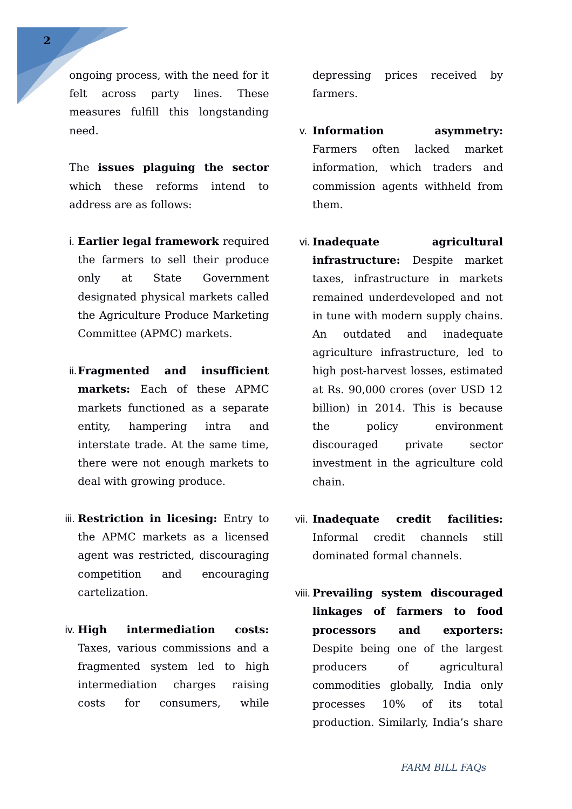ongoing process, with the need for it felt across party lines. These measures fulfill this longstanding need.

The **issues plaguing the sector** which these reforms intend to address are as follows:

- i. **Earlier legal framework** required the farmers to sell their produce only at State Government designated physical markets called the Agriculture Produce Marketing Committee (APMC) markets.
- ii.**Fragmented and insufficient markets:** Each of these APMC markets functioned as a separate entity, hampering intra and interstate trade. At the same time, there were not enough markets to deal with growing produce.
- iii. **Restriction in licesing:** Entry to the APMC markets as a licensed agent was restricted, discouraging competition and encouraging cartelization.
- iv. **High intermediation costs:** Taxes, various commissions and a fragmented system led to high intermediation charges raising costs for consumers, while

depressing prices received by farmers.

- v. **Information asymmetry:** Farmers often lacked market information, which traders and commission agents withheld from them.
- vi. **Inadequate agricultural infrastructure:** Despite market taxes, infrastructure in markets remained underdeveloped and not in tune with modern supply chains. An outdated and inadequate agriculture infrastructure, led to high post-harvest losses, estimated at Rs. 90,000 crores (over USD 12 billion) in 2014. This is because the policy environment discouraged private sector investment in the agriculture cold chain.
- vii. **Inadequate credit facilities:** Informal credit channels still dominated formal channels.
- viii. **Prevailing system discouraged linkages of farmers to food processors and exporters:** Despite being one of the largest producers of agricultural commodities globally, India only processes 10% of its total production. Similarly, India's share

**2**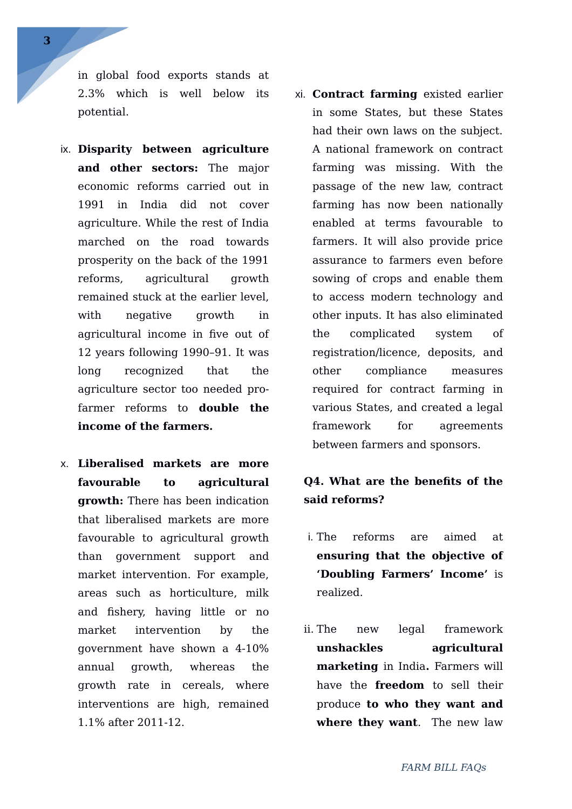in global food exports stands at 2.3% which is well below its potential.

- ix. **Disparity between agriculture and other sectors:** The major economic reforms carried out in 1991 in India did not cover agriculture. While the rest of India marched on the road towards prosperity on the back of the 1991 reforms, agricultural growth remained stuck at the earlier level, with negative growth in agricultural income in five out of 12 years following 1990–91. It was long recognized that the agriculture sector too needed profarmer reforms to **double the income of the farmers.**
- x. **Liberalised markets are more favourable to agricultural growth:** There has been indication that liberalised markets are more favourable to agricultural growth than government support and market intervention. For example, areas such as horticulture, milk and fishery, having little or no market intervention by the government have shown a 4-10% annual growth, whereas the growth rate in cereals, where interventions are high, remained 1.1% after 2011-12.
- xi. **Contract farming** existed earlier in some States, but these States had their own laws on the subject. A national framework on contract farming was missing. With the passage of the new law, contract farming has now been nationally enabled at terms favourable to farmers. It will also provide price assurance to farmers even before sowing of crops and enable them to access modern technology and other inputs. It has also eliminated the complicated system of registration/licence, deposits, and other compliance measures required for contract farming in various States, and created a legal framework for agreements between farmers and sponsors.

## **Q4. What are the benefits of the said reforms?**

- i. The reforms are aimed at **ensuring that the objective of 'Doubling Farmers' Income'** is realized.
- ii. The new legal framework **unshackles agricultural marketing** in India**.** Farmers will have the **freedom** to sell their produce **to who they want and where they want**. The new law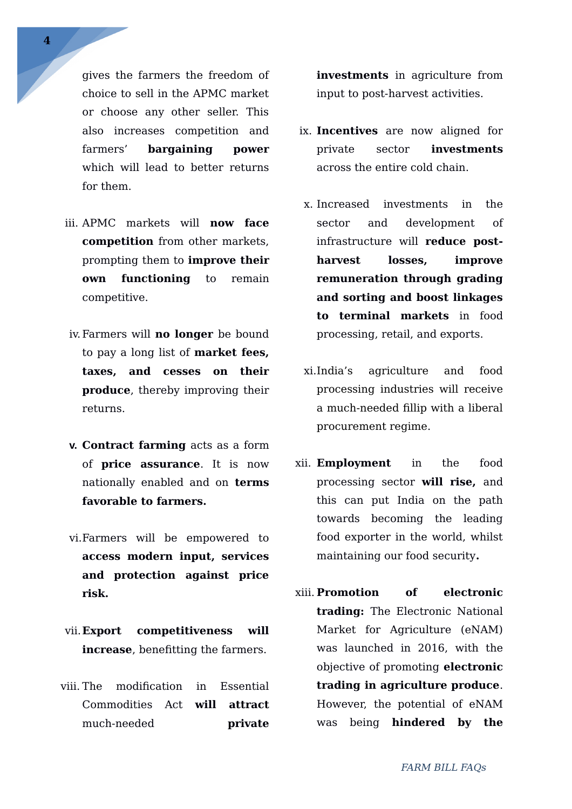**4**

gives the farmers the freedom of choice to sell in the APMC market or choose any other seller. This also increases competition and farmers' **bargaining power** which will lead to better returns for them.

- iii. APMC markets will **now face competition** from other markets, prompting them to **improve their own functioning** to remain competitive.
- iv.Farmers will **no longer** be bound to pay a long list of **market fees, taxes, and cesses on their produce**, thereby improving their returns.
- **v. Contract farming** acts as a form of **price assurance**. It is now nationally enabled and on **terms favorable to farmers.**
- vi.Farmers will be empowered to **access modern input, services and protection against price risk.**
- vii.**Export competitiveness will increase**, benefitting the farmers.
- viii. The modification in Essential Commodities Act **will attract** much-needed **private**

**investments** in agriculture from input to post-harvest activities.

- ix. **Incentives** are now aligned for private sector **investments** across the entire cold chain.
- x. Increased investments in the sector and development of infrastructure will **reduce postharvest losses, improve remuneration through grading and sorting and boost linkages to terminal markets** in food processing, retail, and exports.
- xi.India's agriculture and food processing industries will receive a much-needed fillip with a liberal procurement regime.
- xii. **Employment** in the food processing sector **will rise,** and this can put India on the path towards becoming the leading food exporter in the world, whilst maintaining our food security**.**
- xiii. **Promotion of electronic trading:** The Electronic National Market for Agriculture (eNAM) was launched in 2016, with the objective of promoting **electronic trading in agriculture produce**. However, the potential of eNAM was being **hindered by the**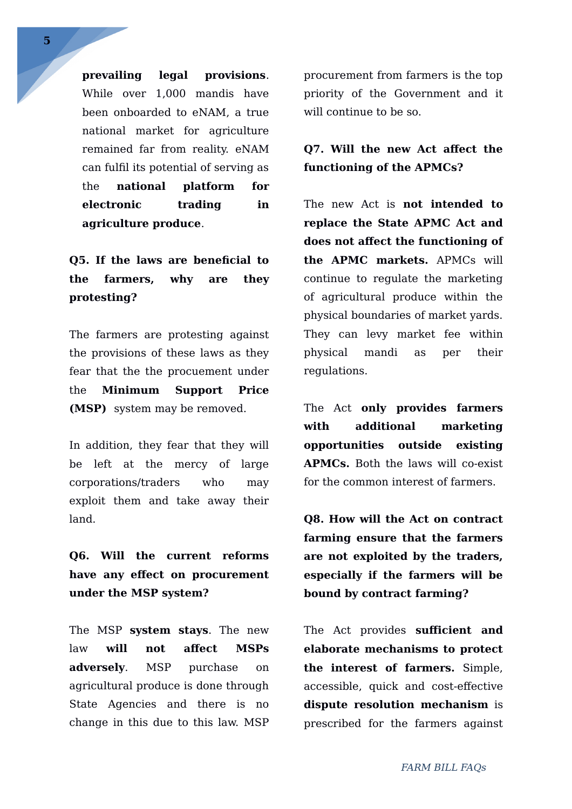**prevailing legal provisions**. While over 1,000 mandis have been onboarded to eNAM, a true national market for agriculture remained far from reality. eNAM can fulfil its potential of serving as the **national platform for electronic trading in agriculture produce**.

**Q5. If the laws are beneficial to the farmers, why are they protesting?**

The farmers are protesting against the provisions of these laws as they fear that the the procuement under the **Minimum Support Price (MSP)** system may be removed.

In addition, they fear that they will be left at the mercy of large corporations/traders who may exploit them and take away their land.

**Q6. Will the current reforms have any effect on procurement under the MSP system?**

The MSP **system stays**. The new law **will not affect MSPs adversely**. MSP purchase on agricultural produce is done through State Agencies and there is no change in this due to this law. MSP

procurement from farmers is the top priority of the Government and it will continue to be so.

### **Q7. Will the new Act affect the functioning of the APMCs?**

The new Act is **not intended to replace the State APMC Act and does not affect the functioning of the APMC markets.** APMCs will continue to regulate the marketing of agricultural produce within the physical boundaries of market yards. They can levy market fee within physical mandi as per their regulations.

The Act **only provides farmers with additional marketing opportunities outside existing APMCs.** Both the laws will co-exist for the common interest of farmers.

**Q8. How will the Act on contract farming ensure that the farmers are not exploited by the traders, especially if the farmers will be bound by contract farming?**

The Act provides **sufficient and elaborate mechanisms to protect the interest of farmers.** Simple, accessible, quick and cost-effective **dispute resolution mechanism** is prescribed for the farmers against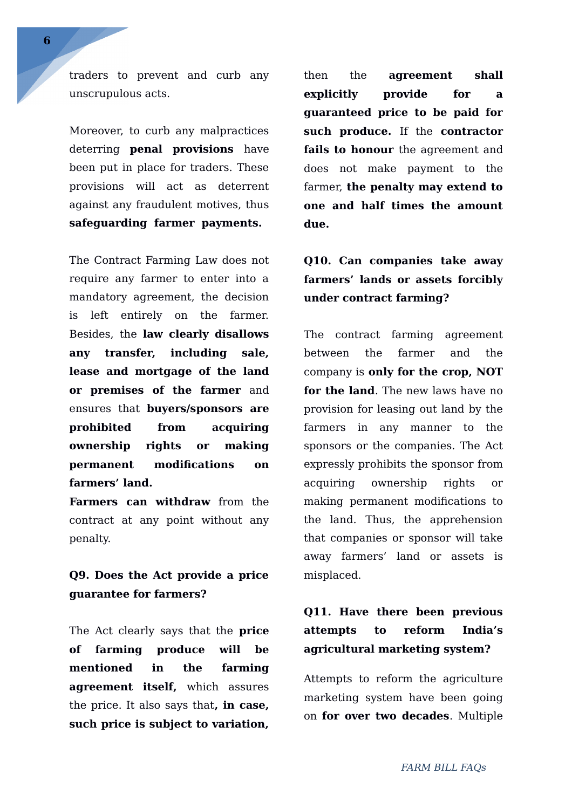traders to prevent and curb any unscrupulous acts.

Moreover, to curb any malpractices deterring **penal provisions** have been put in place for traders. These provisions will act as deterrent against any fraudulent motives, thus **safeguarding farmer payments.** 

The Contract Farming Law does not require any farmer to enter into a mandatory agreement, the decision is left entirely on the farmer. Besides, the **law clearly disallows any transfer, including sale, lease and mortgage of the land or premises of the farmer** and ensures that **buyers/sponsors are prohibited from acquiring ownership rights or making permanent modifications on farmers' land.**

**Farmers can withdraw** from the contract at any point without any penalty.

## **Q9. Does the Act provide a price guarantee for farmers?**

The Act clearly says that the **price of farming produce will be mentioned in the farming agreement itself,** which assures the price. It also says that**, in case, such price is subject to variation,**

then the **agreement shall explicitly provide for a guaranteed price to be paid for such produce.** If the **contractor fails to honour** the agreement and does not make payment to the farmer, **the penalty may extend to one and half times the amount due.**

# **Q10. Can companies take away farmers' lands or assets forcibly under contract farming?**

The contract farming agreement between the farmer and the company is **only for the crop, NOT for the land**. The new laws have no provision for leasing out land by the farmers in any manner to the sponsors or the companies. The Act expressly prohibits the sponsor from acquiring ownership rights or making permanent modifications to the land. Thus, the apprehension that companies or sponsor will take away farmers' land or assets is misplaced.

# **Q11. Have there been previous attempts to reform India's agricultural marketing system?**

Attempts to reform the agriculture marketing system have been going on **for over two decades**. Multiple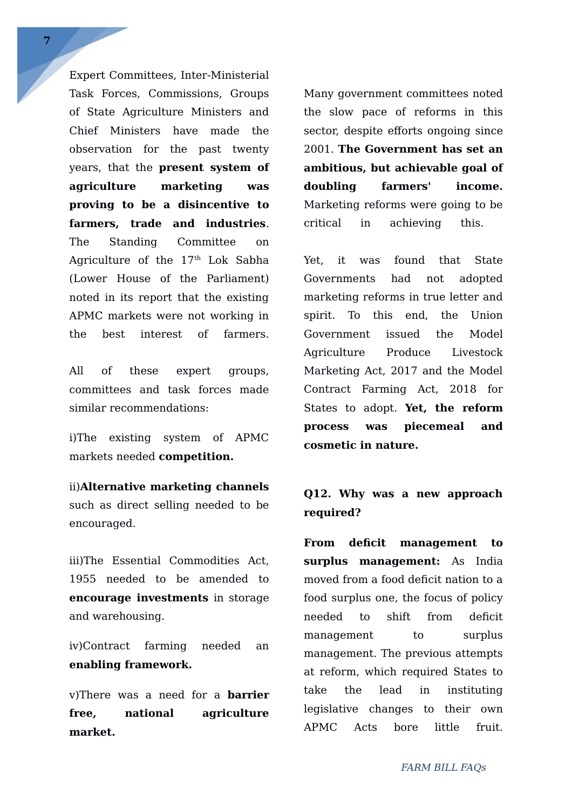Expert Committees, Inter-Ministerial Task Forces, Commissions, Groups of State Agriculture Ministers and Chief Ministers have made the observation for the past twenty years, that the **present system of agriculture marketing was proving to be a disincentive to farmers, trade and industries**. The Standing Committee on Agriculture of the 17<sup>th</sup> Lok Sabha (Lower House of the Parliament) noted in its report that the existing APMC markets were not working in the best interest of farmers.

All of these expert groups, committees and task forces made similar recommendations:

i)The existing system of APMC markets needed **competition.** 

ii)**Alternative marketing channels** such as direct selling needed to be encouraged.

iii)The Essential Commodities Act, 1955 needed to be amended to **encourage investments** in storage and warehousing.

iv)Contract farming needed an **enabling framework.** 

v)There was a need for a **barrier free, national agriculture market.**

Many government committees noted the slow pace of reforms in this sector, despite efforts ongoing since 2001. **The Government has set an ambitious, but achievable goal of doubling farmers' income.** Marketing reforms were going to be critical in achieving this.

Yet, it was found that State Governments had not adopted marketing reforms in true letter and spirit. To this end, the Union Government issued the Model Agriculture Produce Livestock Marketing Act, 2017 and the Model Contract Farming Act, 2018 for States to adopt. **Yet, the reform process was piecemeal and cosmetic in nature.**

## **Q12. Why was a new approach required?**

**From deficit management to surplus management:** As India moved from a food deficit nation to a food surplus one, the focus of policy needed to shift from deficit management to surplus management. The previous attempts at reform, which required States to take the lead in instituting legislative changes to their own APMC Acts bore little fruit.